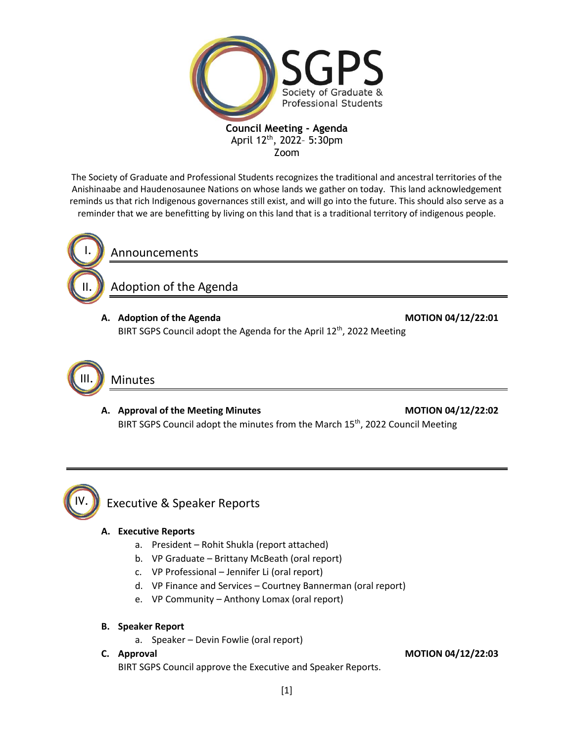

**Council Meeting - Agenda** April 12<sup>th</sup>, 2022- 5:30pm Zoom

The Society of Graduate and Professional Students recognizes the traditional and ancestral territories of the Anishinaabe and Haudenosaunee Nations on whose lands we gather on today. This land acknowledgement reminds us that rich Indigenous governances still exist, and will go into the future. This should also serve as a reminder that we are benefitting by living on this land that is a traditional territory of indigenous people.



Announcements

Adoption of the Agenda

**A. Adoption of the Agenda MOTION 04/12/22:01** BIRT SGPS Council adopt the Agenda for the April 12<sup>th</sup>, 2022 Meeting



# Minutes

A. Approval of the Meeting Minutes **MOTION 04/12/22:02** BIRT SGPS Council adopt the minutes from the March 15<sup>th</sup>, 2022 Council Meeting



#### Executive & Speaker Reports

#### **A. Executive Reports**

- a. President Rohit Shukla (report attached)
- b. VP Graduate Brittany McBeath (oral report)
- c. VP Professional Jennifer Li (oral report)
- d. VP Finance and Services Courtney Bannerman (oral report)
- e. VP Community Anthony Lomax (oral report)
- **B. Speaker Report**
	- a. Speaker Devin Fowlie (oral report)
- 

BIRT SGPS Council approve the Executive and Speaker Reports.

**C. Approval MOTION 04/12/22:03**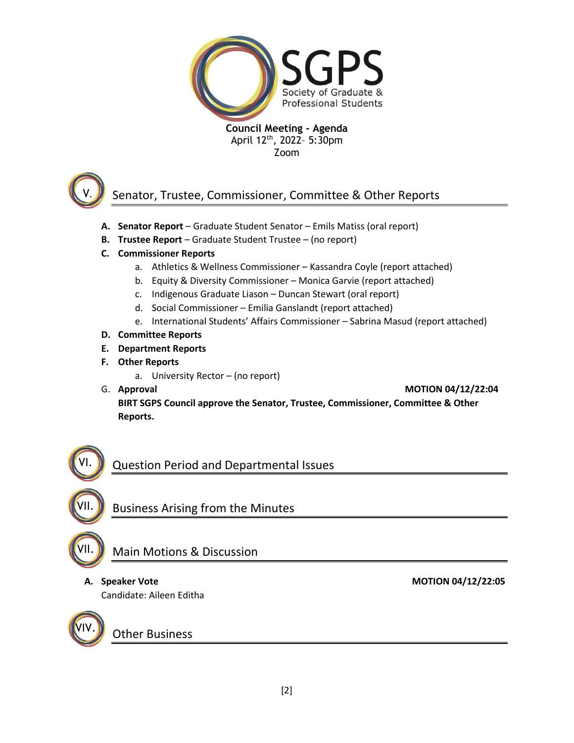

**Council Meeting - Agenda** April 12<sup>th</sup>, 2022- 5:30pm Zoom



## Senator, Trustee, Commissioner, Committee & Other Reports

- **A. Senator Report** Graduate Student Senator Emils Matiss (oral report)
- **B. Trustee Report** Graduate Student Trustee (no report)
- **C. Commissioner Reports**
	- a. Athletics & Wellness Commissioner Kassandra Coyle (report attached)
	- b. Equity & Diversity Commissioner Monica Garvie (report attached)
	- c. Indigenous Graduate Liason Duncan Stewart (oral report)
	- d. Social Commissioner Emilia Ganslandt (report attached)
	- e. International Students' Affairs Commissioner Sabrina Masud (report attached)
- **D. Committee Reports**
- **E. Department Reports**
- **F. Other Reports**
	- a. University Rector (no report)
- 

G. **Approval MOTION 04/12/22:04**

**BIRT SGPS Council approve the Senator, Trustee, Commissioner, Committee & Other Reports.**



VII.

VI.

VII.

#### Business Arising from the Minutes

Main Motions & Discussion

Candidate: Aileen Editha

VIV.

Other Business

A. Speaker Vote MOTION 04/12/22:05